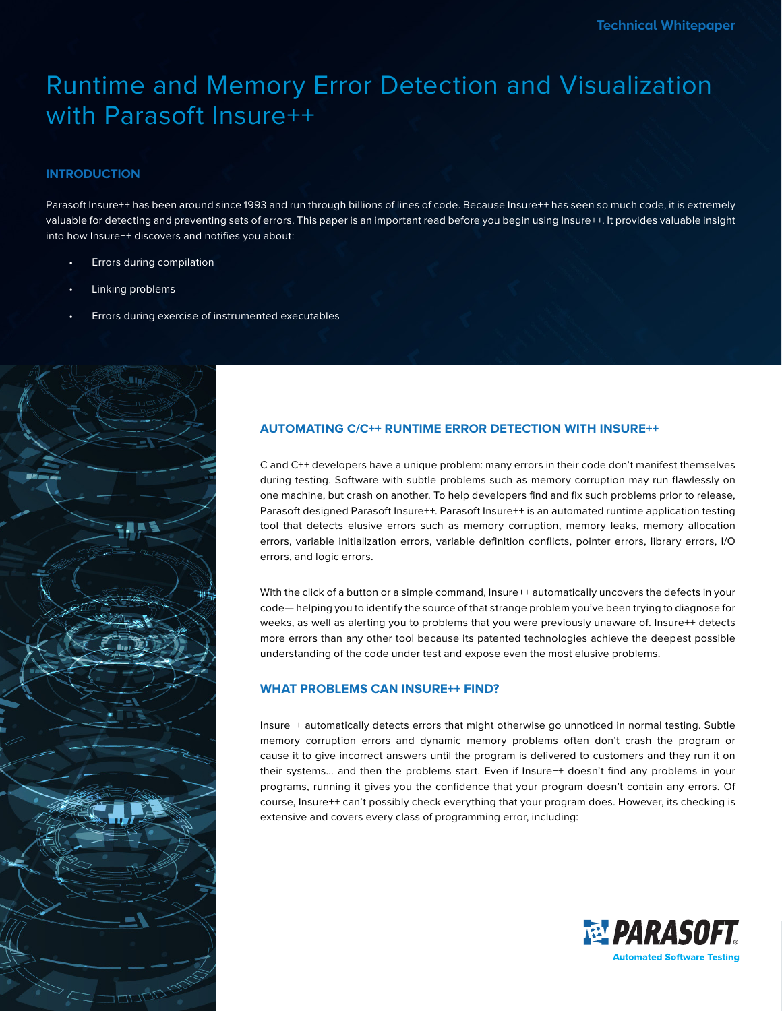# Runtime and Memory Error Detection and Visualization with Parasoft Insure++

# **INTRODUCTION**

Parasoft Insure++ has been around since 1993 and run through billions of lines of code. Because Insure++ has seen so much code, it is extremely valuable for detecting and preventing sets of errors. This paper is an important read before you begin using Insure++. It provides valuable insight into how Insure++ discovers and notifies you about:

- Errors during compilation
- Linking problems
- Errors during exercise of instrumented executables



# **AUTOMATING C/C++ RUNTIME ERROR DETECTION WITH INSURE++**

C and C++ developers have a unique problem: many errors in their code don't manifest themselves during testing. Software with subtle problems such as memory corruption may run flawlessly on one machine, but crash on another. To help developers find and fix such problems prior to release, Parasoft designed Parasoft Insure++. Parasoft Insure++ is an automated runtime application testing tool that detects elusive errors such as memory corruption, memory leaks, memory allocation errors, variable initialization errors, variable definition conflicts, pointer errors, library errors, I/O errors, and logic errors.

With the click of a button or a simple command, Insure++ automatically uncovers the defects in your code— helping you to identify the source of that strange problem you've been trying to diagnose for weeks, as well as alerting you to problems that you were previously unaware of. Insure++ detects more errors than any other tool because its patented technologies achieve the deepest possible understanding of the code under test and expose even the most elusive problems.

# **WHAT PROBLEMS CAN INSURE++ FIND?**

Insure++ automatically detects errors that might otherwise go unnoticed in normal testing. Subtle memory corruption errors and dynamic memory problems often don't crash the program or cause it to give incorrect answers until the program is delivered to customers and they run it on their systems... and then the problems start. Even if Insure++ doesn't find any problems in your programs, running it gives you the confidence that your program doesn't contain any errors. Of course, Insure++ can't possibly check everything that your program does. However, its checking is extensive and covers every class of programming error, including:

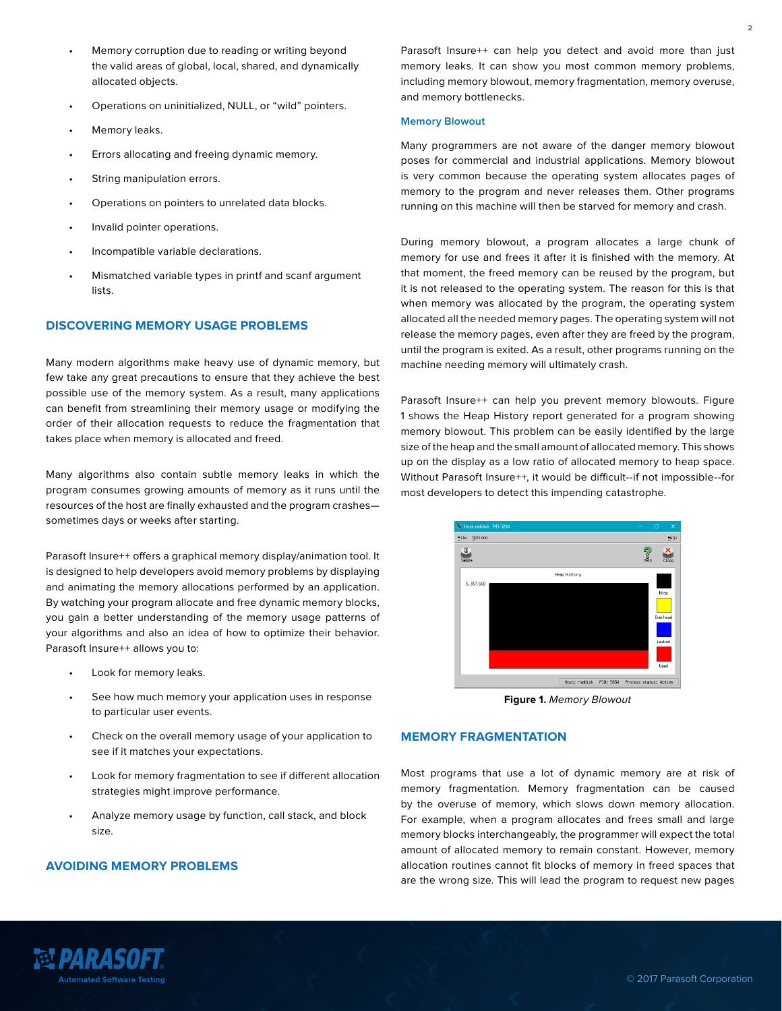- Memory corruption due to reading or writing beyond the valid areas of global, local, shared, and dynamically allocated objects.
- Operations on uninitialized, NULL, or "wild" pointers.
- Memory leaks.
- Errors allocating and freeing dynamic memory.
- String manipulation errors.
- Operations on pointers to unrelated data blocks.
- Invalid pointer operations.
- Incompatible variable declarations.
- Mismatched variable types in printf and scanf argument lists.

## **DISCOVERING MEMORY USAGE PROBLEMS**

Many modern algorithms make heavy use of dynamic memory, but few take any great precautions to ensure that they achieve the best possible use of the memory system. As a result, many applications can benefit from streamlining their memory usage or modifying the order of their allocation requests to reduce the fragmentation that takes place when memory is allocated and freed.

Many algorithms also contain subtle memory leaks in which the program consumes growing amounts of memory as it runs until the resources of the host are finally exhausted and the program crashes sometimes days or weeks after starting.

Parasoft Insure++ offers a graphical memory display/animation tool. It is designed to help developers avoid memory problems by displaying and animating the memory allocations performed by an application. By watching your program allocate and free dynamic memory blocks, you gain a better understanding of the memory usage patterns of your algorithms and also an idea of how to optimize their behavior. Parasoft Insure++ allows you to:

- Look for memory leaks.
- See how much memory your application uses in response to particular user events.
- Check on the overall memory usage of your application to see if it matches your expectations.
- Look for memory fragmentation to see if different allocation strategies might improve performance.
- Analyze memory usage by function, call stack, and block size.

#### **AVOIDING MEMORY PROBLEMS**

Parasoft Insure++ can help you detect and avoid more than just memory leaks. It can show you most common memory problems, including memory blowout, memory fragmentation, memory overuse, and memory bottlenecks.

#### **Memory Blowout**

Many programmers are not aware of the danger memory blowout poses for commercial and industrial applications. Memory blowout is very common because the operating system allocates pages of memory to the program and never releases them. Other programs running on this machine will then be starved for memory and crash.

During memory blowout, a program allocates a large chunk of memory for use and frees it after it is finished with the memory. At that moment, the freed memory can be reused by the program, but it is not released to the operating system. The reason for this is that when memory was allocated by the program, the operating system allocated all the needed memory pages. The operating system will not release the memory pages, even after they are freed by the program, until the program is exited. As a result, other programs running on the machine needing memory will ultimately crash.

Parasoft Insure++ can help you prevent memory blowouts. Figure 1 shows the Heap History report generated for a program showing memory blowout. This problem can be easily identified by the large size of the heap and the small amount of allocated memory. This shows up on the display as a low ratio of allocated memory to heap space. Without Parasoft Insure++, it would be difficult--if not impossible--for most developers to detect this impending catastrophe.



**Figure 1.** Memory Blowout

## **MEMORY FRAGMENTATION**

Most programs that use a lot of dynamic memory are at risk of memory fragmentation. Memory fragmentation can be caused by the overuse of memory, which slows down memory allocation. For example, when a program allocates and frees small and large memory blocks interchangeably, the programmer will expect the total amount of allocated memory to remain constant. However, memory allocation routines cannot fit blocks of memory in freed spaces that are the wrong size. This will lead the program to request new pages

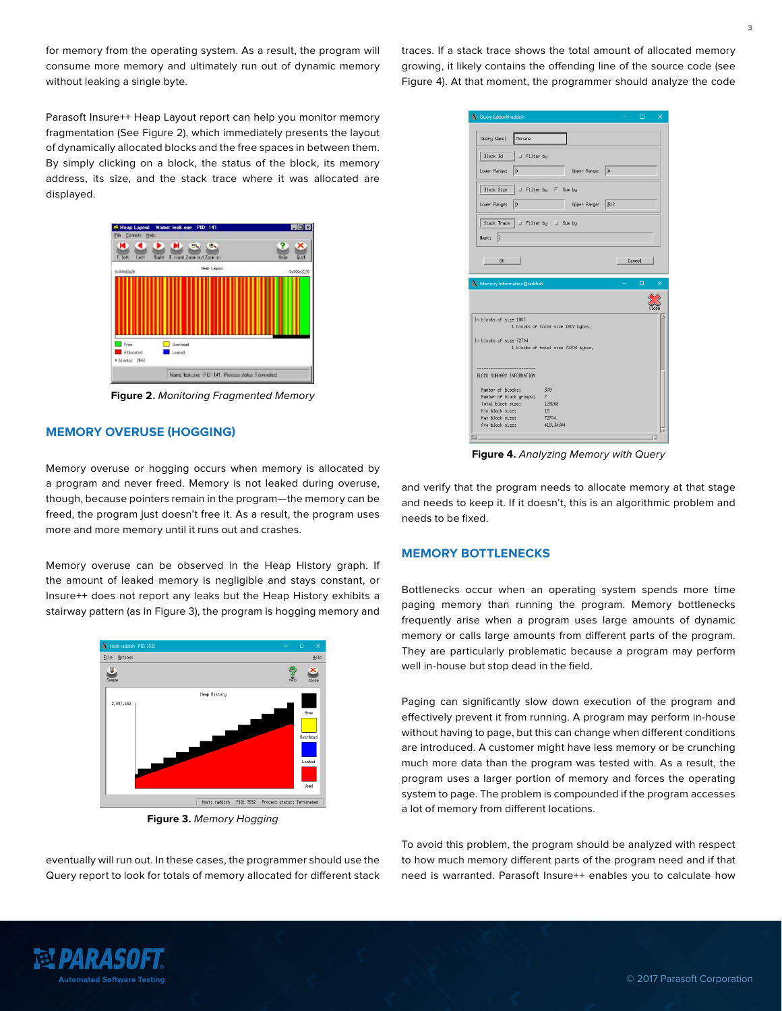for memory from the operating system. As a result, the program will consume more memory and ultimately run out of dynamic memory without leaking a single byte.

traces. If a stack trace shows the total amount of allocated memory growing, it likely contains the offending line of the source code (see Figure 4). At that moment, the programmer should analyze the code

Parasoft Insure++ Heap Layout report can help you monitor memory fragmentation (See Figure 2), which immediately presents the layout of dynamically allocated blocks and the free spaces in between them. By simply clicking on a block, the status of the block, its memory address, its size, and the stack trace where it was allocated are displayed.



**Figure 2.** Monitoring Fragmented Memory

## **MEMORY OVERUSE (HOGGING)**

Memory overuse or hogging occurs when memory is allocated by a program and never freed. Memory is not leaked during overuse, though, because pointers remain in the program—the memory can be freed, the program just doesn't free it. As a result, the program uses more and more memory until it runs out and crashes.

Memory overuse can be observed in the Heap History graph. If the amount of leaked memory is negligible and stays constant, or Insure++ does not report any leaks but the Heap History exhibits a stairway pattern (as in Figure 3), the program is hogging memory and



**Figure 3.** Memory Hogging

eventually will run out. In these cases, the programmer should use the Query report to look for totals of memory allocated for different stack

| Query Editor@raddish       |                                     | $\Box$<br>$\overline{\times}$ |
|----------------------------|-------------------------------------|-------------------------------|
|                            |                                     |                               |
| Query Nane:<br>Nonane      |                                     |                               |
| Block Id<br>Filter by      |                                     |                               |
| Ō<br>Lower Range:          | Upper Range:                        | b                             |
| Block Size                 |                                     |                               |
| ď<br>Lower Range:          | Upper Range:                        | 512                           |
| Stack Trace                | I Filter by I Sun by                |                               |
| I<br>Mask:                 |                                     |                               |
| <b>n</b> <sub>K</sub>      |                                     | Cancel                        |
|                            |                                     |                               |
| Memory Information@raddish |                                     | $\Box$<br>×                   |
|                            |                                     |                               |
|                            |                                     |                               |
| In blocks of size 1807     |                                     |                               |
|                            | 1 blocks of total size 1807 bytes.  |                               |
| In blocks of size 72704    |                                     |                               |
|                            | 1 blocks of total size 72704 bytes. |                               |
|                            |                                     |                               |
| BLOCK SUMMARY INFORMATION  |                                     |                               |
| Number of blocks:          | 309                                 |                               |
| Number of block groups:    | $\overline{7}$                      |                               |
| Total block size:          | 129268                              |                               |
| Min block size:            | 15                                  |                               |
| Max block size:            | 72704                               |                               |
| Avg block size:            | 418,34304                           |                               |
| a.                         |                                     | īΣ                            |

**Figure 4.** Analyzing Memory with Query

and verify that the program needs to allocate memory at that stage and needs to keep it. If it doesn't, this is an algorithmic problem and needs to be fixed.

#### **MEMORY BOTTLENECKS**

Bottlenecks occur when an operating system spends more time paging memory than running the program. Memory bottlenecks frequently arise when a program uses large amounts of dynamic memory or calls large amounts from different parts of the program. They are particularly problematic because a program may perform well in-house but stop dead in the field.

Paging can significantly slow down execution of the program and effectively prevent it from running. A program may perform in-house without having to page, but this can change when different conditions are introduced. A customer might have less memory or be crunching much more data than the program was tested with. As a result, the program uses a larger portion of memory and forces the operating system to page. The problem is compounded if the program accesses a lot of memory from different locations.

To avoid this problem, the program should be analyzed with respect to how much memory different parts of the program need and if that need is warranted. Parasoft Insure++ enables you to calculate how